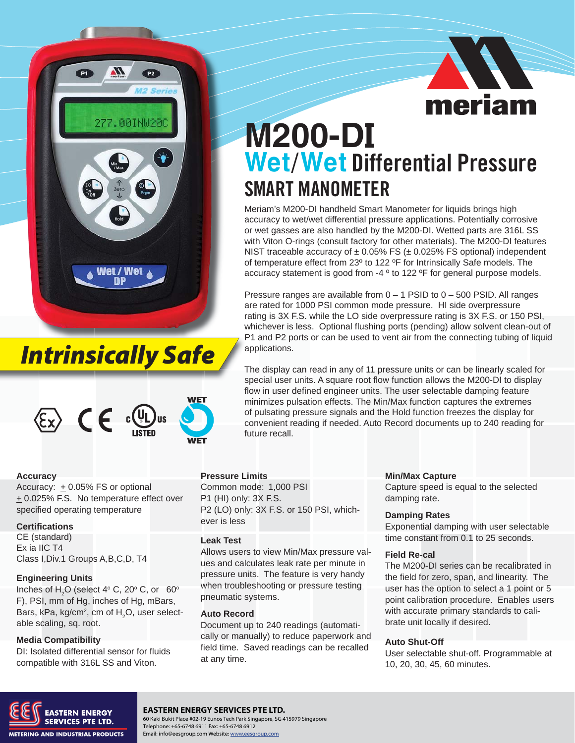

## *Intrinsically Safe*



# **AE** meriam

## **M200-DI Wet**/**Wet** Differential Pressure SMART MANOMETER

Meriam's M200-DI handheld Smart Manometer for liquids brings high accuracy to wet/wet differential pressure applications. Potentially corrosive or wet gasses are also handled by the M200-DI. Wetted parts are 316L SS with Viton O-rings (consult factory for other materials). The M200-DI features NIST traceable accuracy of  $\pm$  0.05% FS ( $\pm$  0.025% FS optional) independent of temperature effect from 23º to 122 ºF for Intrinsically Safe models. The accuracy statement is good from -4 ° to 122 °F for general purpose models.

Pressure ranges are available from 0 – 1 PSID to 0 – 500 PSID. All ranges are rated for 1000 PSI common mode pressure. HI side overpressure rating is 3X F.S. while the LO side overpressure rating is 3X F.S. or 150 PSI, whichever is less. Optional flushing ports (pending) allow solvent clean-out of P1 and P2 ports or can be used to vent air from the connecting tubing of liquid P applications. a

The display can read in any of 11 pressure units or can be linearly scaled for T special user units. A square root flow function allows the M200-DI to display s flow in user defined engineer units. The user selectable damping feature minimizes pulsation effects. The Min/Max function captures the extremes of pulsating pressure signals and the Hold function freezes the display for convenient reading if needed. Auto Record documents up to 240 reading for future recall.

#### **Accuracy**

Accuracy:  $\pm$  0.05% FS or optional  $\pm$  0.025% F.S. No temperature effect over specified operating temperature

#### **Certifications**

CE (standard) Ex ia IIC T4 Class I,Div.1 Groups A,B,C,D, T4

#### **Engineering Units**

Inches of  $H_2O$  (select 4 $\degree$  C, 20 $\degree$  C, or 60 $\degree$ F), PSI, mm of Hg, inches of Hg, mBars, Bars, kPa, kg/cm $^2$ , cm of  $\textsf{H}_{\textsf{2}}\textsf{O},$  user selectable scaling, sq. root.

#### **Media Compatibility**

DI: Isolated differential sensor for fluids compatible with 316L SS and Viton.

#### **Pressure Limits**

Common mode: 1,000 PSI P1 (HI) only: 3X F.S. P2 (LO) only: 3X F.S. or 150 PSI, whichever is less

#### **Leak Test**

Allows users to view Min/Max pressure values and calculates leak rate per minute in pressure units. The feature is very handy when troubleshooting or pressure testing pneumatic systems.

#### **Auto Record**

Document up to 240 readings (automatically or manually) to reduce paperwork and field time. Saved readings can be recalled at any time.

#### **Min/Max Capture**

Capture speed is equal to the selected damping rate.

#### **Damping Rates**

Exponential damping with user selectable time constant from 0.1 to 25 seconds.

#### **Field Re-cal**

The M200-DI series can be recalibrated in the field for zero, span, and linearity. The user has the option to select a 1 point or 5 point calibration procedure. Enables users with accurate primary standards to calibrate unit locally if desired.

#### **Auto Shut-Off**

User selectable shut-off. Programmable at 10, 20, 30, 45, 60 minutes.



#### **EASTERN ENERGY SERVICES PTE LTD.**

60 Kaki Bukit Place #02-19 Eunos Tech Park Singapore, SG 415979 Singapore Telephone: +65-6748 6911 Fax: +65-6748 6912 Email: info@eesgroup.com Website: www.eesgroup.com